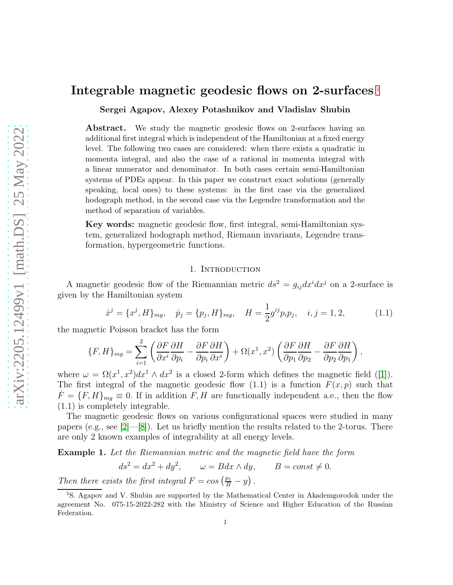## Integrable magnetic geodesic flows on 2-surfaces <sup>[1](#page-0-0)</sup>

Sergei Agapov, Alexey Potashnikov and Vladislav Shubin

Abstract. We study the magnetic geodesic flows on 2-surfaces having an additional first integral which is independent of the Hamiltonian at a fixed energy level. The following two cases are considered: when there exists a quadratic in momenta integral, and also the case of a rational in momenta integral with a linear numerator and denominator. In both cases certain semi-Hamiltonian systems of PDEs appear. In this paper we construct exact solutions (generally speaking, local ones) to these systems: in the first case via the generalized hodograph method, in the second case via the Legendre transformation and the method of separation of variables.

Key words: magnetic geodesic flow, first integral, semi-Hamiltonian system, generalized hodograph method, Riemann invariants, Legendre transformation, hypergeometric functions.

#### 1. Introduction

A magnetic geodesic flow of the Riemannian metric  $ds^2 = g_{ij}dx^i dx^j$  on a 2-surface is given by the Hamiltonian system

$$
\dot{x}^j = \{x^j, H\}_{mg}, \quad \dot{p}_j = \{p_j, H\}_{mg}, \quad H = \frac{1}{2}g^{ij}p_ip_j, \quad i, j = 1, 2,
$$
\n(1.1)

the magnetic Poisson bracket has the form

$$
\{F, H\}_{mg} = \sum_{i=1}^{2} \left( \frac{\partial F}{\partial x^i} \frac{\partial H}{\partial p_i} - \frac{\partial F}{\partial p_i} \frac{\partial H}{\partial x^i} \right) + \Omega(x^1, x^2) \left( \frac{\partial F}{\partial p_1} \frac{\partial H}{\partial p_2} - \frac{\partial F}{\partial p_2} \frac{\partial H}{\partial p_1} \right),
$$

where  $\omega = \Omega(x^1, x^2)dx^1 \wedge dx^2$  is a closed 2-form which defines the magnetic field ([\[1\]](#page-19-0)). The first integral of the magnetic geodesic flow  $(1.1)$  is a function  $F(x, p)$  such that  $\dot{F} = \{F, H\}_{mq} \equiv 0$ . If in addition F, H are functionally independent a.e., then the flow (1.1) is completely integrable.

The magnetic geodesic flows on various configurational spaces were studied in many papers (e.g., see [\[2\]](#page-19-1)—[\[8\]](#page-19-2)). Let us briefly mention the results related to the 2-torus. There are only 2 known examples of integrability at all energy levels.

Example 1. Let the Riemannian metric and the magnetic field have the form

$$
ds2 = dx2 + dy2, \qquad \omega = Bdx \wedge dy, \qquad B = const \neq 0.
$$

Then there exists the first integral  $F = cos\left(\frac{p_1}{B} - y\right)$ .

<span id="page-0-0"></span><sup>&</sup>lt;sup>1</sup>S. Agapov and V. Shubin are supported by the Mathematical Center in Akademgorodok under the agreement No. 075-15-2022-282 with the Ministry of Science and Higher Education of the Russian Federation.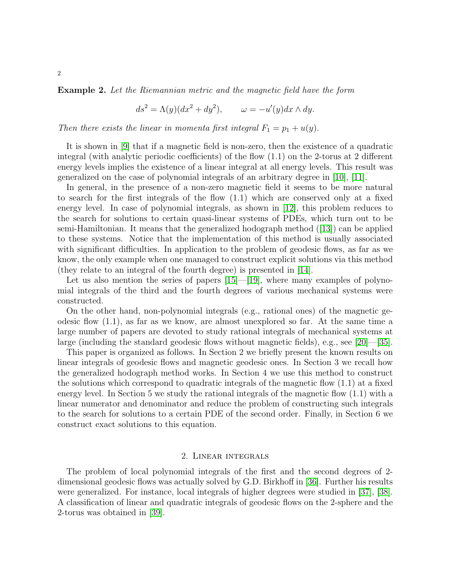Example 2. Let the Riemannian metric and the magnetic field have the form

$$
ds2 = \Lambda(y)(dx2 + dy2), \qquad \omega = -u'(y)dx \wedge dy.
$$

Then there exists the linear in momenta first integral  $F_1 = p_1 + u(y)$ .

It is shown in [\[9\]](#page-19-3) that if a magnetic field is non-zero, then the existence of a quadratic integral (with analytic periodic coefficients) of the flow (1.1) on the 2-torus at 2 different energy levels implies the existence of a linear integral at all energy levels. This result was generalized on the case of polynomial integrals of an arbitrary degree in [\[10\]](#page-19-4), [\[11\]](#page-19-5).

In general, in the presence of a non-zero magnetic field it seems to be more natural to search for the first integrals of the flow (1.1) which are conserved only at a fixed energy level. In case of polynomial integrals, as shown in [\[12\]](#page-19-6), this problem reduces to the search for solutions to certain quasi-linear systems of PDEs, which turn out to be semi-Hamiltonian. It means that the generalized hodograph method ([\[13\]](#page-19-7)) can be applied to these systems. Notice that the implementation of this method is usually associated with significant difficulties. In application to the problem of geodesic flows, as far as we know, the only example when one managed to construct explicit solutions via this method (they relate to an integral of the fourth degree) is presented in [\[14\]](#page-19-8).

Let us also mention the series of papers  $[15]$ — $[19]$ , where many examples of polynomial integrals of the third and the fourth degrees of various mechanical systems were constructed.

On the other hand, non-polynomial integrals (e.g., rational ones) of the magnetic geodesic flow (1.1), as far as we know, are almost unexplored so far. At the same time a large number of papers are devoted to study rational integrals of mechanical systems at large (including the standard geodesic flows without magnetic fields), e.g., see [\[20\]](#page-19-11)—[\[35\]](#page-20-0).

This paper is organized as follows. In Section 2 we briefly present the known results on linear integrals of geodesic flows and magnetic geodesic ones. In Section 3 we recall how the generalized hodograph method works. In Section 4 we use this method to construct the solutions which correspond to quadratic integrals of the magnetic flow  $(1.1)$  at a fixed energy level. In Section 5 we study the rational integrals of the magnetic flow  $(1.1)$  with a linear numerator and denominator and reduce the problem of constructing such integrals to the search for solutions to a certain PDE of the second order. Finally, in Section 6 we construct exact solutions to this equation.

#### 2. Linear integrals

The problem of local polynomial integrals of the first and the second degrees of 2 dimensional geodesic flows was actually solved by G.D. Birkhoff in [\[36\]](#page-20-1). Further his results were generalized. For instance, local integrals of higher degrees were studied in [\[37\]](#page-20-2), [\[38\]](#page-20-3). A classification of linear and quadratic integrals of geodesic flows on the 2-sphere and the 2-torus was obtained in [\[39\]](#page-20-4).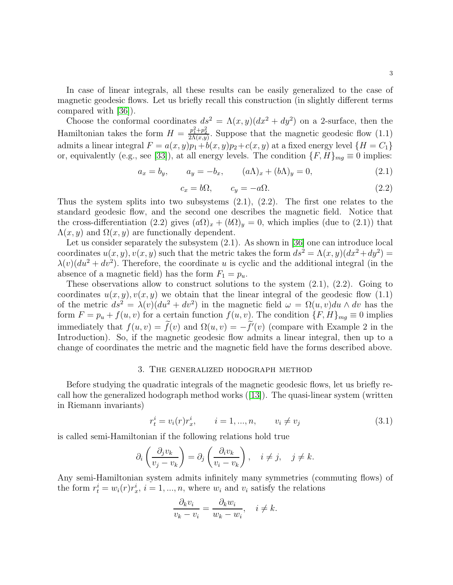In case of linear integrals, all these results can be easily generalized to the case of magnetic geodesic flows. Let us briefly recall this construction (in slightly different terms compared with [\[36\]](#page-20-1)).

Choose the conformal coordinates  $ds^2 = \Lambda(x, y)(dx^2 + dy^2)$  on a 2-surface, then the Hamiltonian takes the form  $H = \frac{p_1^2 + p_2^2}{2\Lambda(x,y)}$ . Suppose that the magnetic geodesic flow (1.1) admits a linear integral  $F = a(x, y)p_1 + b(x, y)p_2 + c(x, y)$  at a fixed energy level  $\{H = C_1\}$ or, equivalently (e.g., see [\[33\]](#page-20-5)), at all energy levels. The condition  $\{F, H\}_{mg} \equiv 0$  implies:

$$
a_x = b_y, \qquad a_y = -b_x, \qquad (a\Lambda)_x + (b\Lambda)_y = 0,\tag{2.1}
$$

$$
c_x = b\Omega, \qquad c_y = -a\Omega. \tag{2.2}
$$

Thus the system splits into two subsystems  $(2.1)$ ,  $(2.2)$ . The first one relates to the standard geodesic flow, and the second one describes the magnetic field. Notice that the cross-differentiation  $(2.2)$  gives  $(a\Omega)_x + (b\Omega)_y = 0$ , which implies (due to  $(2.1)$ ) that  $\Lambda(x, y)$  and  $\Omega(x, y)$  are functionally dependent.

Let us consider separately the subsystem  $(2.1)$ . As shown in [\[36\]](#page-20-1) one can introduce local coordinates  $u(x, y)$ ,  $v(x, y)$  such that the metric takes the form  $ds^2 = \Lambda(x, y)(dx^2 + dy^2)$  $\lambda(v)(du^2 + dv^2)$ . Therefore, the coordinate u is cyclic and the additional integral (in the absence of a magnetic field) has the form  $F_1 = p_u$ .

These observations allow to construct solutions to the system (2.1), (2.2). Going to coordinates  $u(x, y), v(x, y)$  we obtain that the linear integral of the geodesic flow (1.1) of the metric  $ds^2 = \lambda(v)(du^2 + dv^2)$  in the magnetic field  $\omega = \Omega(u, v)du \wedge dv$  has the form  $F = p_u + f(u, v)$  for a certain function  $f(u, v)$ . The condition  $\{F, H\}_{mg} \equiv 0$  implies immediately that  $f(u, v) = f(v)$  and  $\Omega(u, v) = -f'(v)$  (compare with Example 2 in the Introduction). So, if the magnetic geodesic flow admits a linear integral, then up to a change of coordinates the metric and the magnetic field have the forms described above.

#### 3. The generalized hodograph method

Before studying the quadratic integrals of the magnetic geodesic flows, let us briefly recall how the generalized hodograph method works ([\[13\]](#page-19-7)). The quasi-linear system (written in Riemann invariants)

$$
r_t^i = v_i(r)r_x^i, \qquad i = 1, ..., n, \qquad v_i \neq v_j \tag{3.1}
$$

is called semi-Hamiltonian if the following relations hold true

$$
\partial_i \left( \frac{\partial_j v_k}{v_j - v_k} \right) = \partial_j \left( \frac{\partial_i v_k}{v_i - v_k} \right), \quad i \neq j, \quad j \neq k.
$$

Any semi-Hamiltonian system admits infinitely many symmetries (commuting flows) of the form  $r_t^i = w_i(r)r_x^i$ ,  $i = 1, ..., n$ , where  $w_i$  and  $v_i$  satisfy the relations

$$
\frac{\partial_k v_i}{v_k - v_i} = \frac{\partial_k w_i}{w_k - w_i}, \quad i \neq k.
$$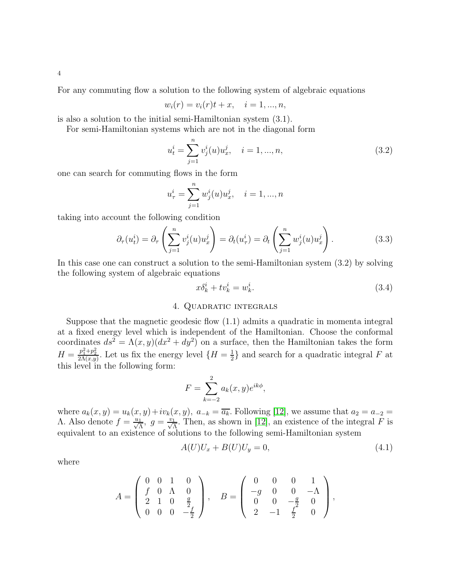For any commuting flow a solution to the following system of algebraic equations

$$
w_i(r) = v_i(r)t + x, \quad i = 1, ..., n,
$$

is also a solution to the initial semi-Hamiltonian system (3.1).

For semi-Hamiltonian systems which are not in the diagonal form

$$
u_t^i = \sum_{j=1}^n v_j^i(u) u_x^j, \quad i = 1, ..., n,
$$
\n(3.2)

one can search for commuting flows in the form

$$
u_{\tau}^{i} = \sum_{j=1}^{n} w_{j}^{i}(u)u_{x}^{j}, \quad i = 1, ..., n
$$

taking into account the following condition

$$
\partial_{\tau}(u_t^i) = \partial_{\tau} \left( \sum_{j=1}^n v_j^i(u) u_x^j \right) = \partial_t(u_{\tau}^i) = \partial_t \left( \sum_{j=1}^n w_j^i(u) u_x^j \right). \tag{3.3}
$$

In this case one can construct a solution to the semi-Hamiltonian system (3.2) by solving the following system of algebraic equations

$$
x\delta_k^i + tv_k^i = w_k^i. \tag{3.4}
$$

### 4. Quadratic integrals

Suppose that the magnetic geodesic flow (1.1) admits a quadratic in momenta integral at a fixed energy level which is independent of the Hamiltonian. Choose the conformal coordinates  $ds^2 = \Lambda(x, y)(dx^2 + dy^2)$  on a surface, then the Hamiltonian takes the form  $H = \frac{p_1^2 + p_2^2}{2\Lambda(x,y)}$ . Let us fix the energy level  $\{H = \frac{1}{2}\}$  $\frac{1}{2}$  and search for a quadratic integral F at this level in the following form:

$$
F = \sum_{k=-2}^{2} a_k(x, y)e^{ik\phi},
$$

where  $a_k(x, y) = u_k(x, y) + iv_k(x, y)$ ,  $a_{-k} = \overline{a_k}$ . Following [\[12\]](#page-19-6), we assume that  $a_2 = a_{-2} = a_k(x, y)$ Λ. Also denote  $f = \frac{u_1}{\sqrt{\Lambda}}$ ,  $g = \frac{v_1}{\sqrt{\Lambda}}$ . Then, as shown in [\[12\]](#page-19-6), an existence of the integral F is equivalent to an existence of solutions to the following semi-Hamiltonian system

$$
A(U)U_x + B(U)U_y = 0,
$$
\n(4.1)

where

$$
A = \begin{pmatrix} 0 & 0 & 1 & 0 \\ f & 0 & \Lambda & 0 \\ 2 & 1 & 0 & \frac{g}{2} \\ 0 & 0 & 0 & -\frac{f}{2} \end{pmatrix}, \quad B = \begin{pmatrix} 0 & 0 & 0 & 1 \\ -g & 0 & 0 & -\Lambda \\ 0 & 0 & -\frac{g}{2} & 0 \\ 2 & -1 & \frac{f}{2} & 0 \end{pmatrix},
$$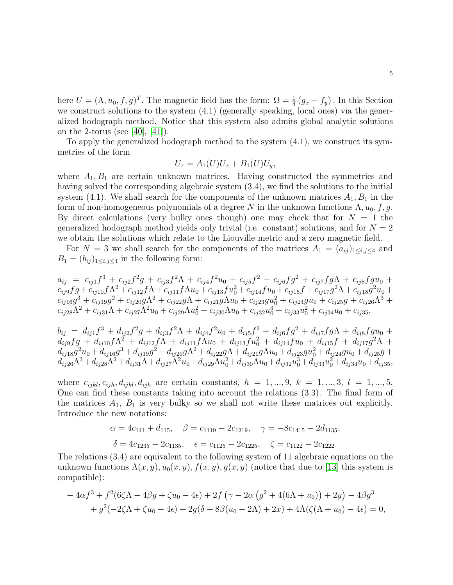here  $U = (\Lambda, u_0, f, g)^T$ . The magnetic field has the form:  $\Omega = \frac{1}{4} (g_x - f_y)$ . In this Section we construct solutions to the system (4.1) (generally speaking, local ones) via the generalized hodograph method. Notice that this system also admits global analytic solutions on the 2-torus (see [\[40\]](#page-20-6), [\[41\]](#page-20-7)).

To apply the generalized hodograph method to the system (4.1), we construct its symmetries of the form

$$
U_{\tau} = A_1(U)U_x + B_1(U)U_y,
$$

where  $A_1, B_1$  are certain unknown matrices. Having constructed the symmetries and having solved the corresponding algebraic system (3.4), we find the solutions to the initial system (4.1). We shall search for the components of the unknown matrices  $A_1, B_1$  in the form of non-homogeneous polynomials of a degree N in the unknown functions  $\Lambda$ ,  $u_0$ ,  $f$ ,  $g$ . By direct calculations (very bulky ones though) one may check that for  $N = 1$  the generalized hodograph method yields only trivial (i.e. constant) solutions, and for  $N = 2$ we obtain the solutions which relate to the Liouville metric and a zero magnetic field.

For  $N = 3$  we shall search for the components of the matrices  $A_1 = (a_{ij})_{1 \leq i,j \leq 4}$  and  $B_1 = (b_{ij})_{1 \le i,j \le 4}$  in the following form:

 $a_{ij} \; = \; c_{ij1} f^3 + c_{ij2} f^2 g + c_{ij3} f^2 \Lambda + c_{ij4} f^2 u_0 + c_{ij5} f^2 + c_{ij6} f g^2 + c_{ij7} f g \Lambda + c_{ij8} f g u_0 +$  $c_{ij9}fg+c_{ij10}f\Lambda^2+c_{ij12}f\Lambda+c_{ij11}f\Lambda u_0+c_{ij13}fu_0^2+c_{ij14}fu_0+c_{ij15}f+c_{ij17}g^2\Lambda+c_{ij18}g^2u_0+$  $c_{ij16}g^3 + c_{ij19}g^2 + c_{ij20}g\Lambda^2 + c_{ij22}g\Lambda + c_{ij21}g\Lambda u_0 + c_{ij23}gu_0^2 + c_{ij24}gu_0 + c_{ij25}g + c_{ij26}\Lambda^3 +$  $c_{ij28}\Lambda^2 + c_{ij31}\Lambda + c_{ij27}\Lambda^2 u_0 + c_{ij29}\Lambda u_0^2 + c_{ij30}\Lambda u_0 + c_{ij32}u_0^3 + c_{ij33}u_0^2 + c_{ij34}u_0 + c_{ij35},$ 

 $b_{ij} \ = \ d_{ij1} f^3 + d_{ij2} f^2 g + d_{ij3} f^2 \Lambda + d_{ij4} f^2 u_0 + d_{ij5} f^2 + d_{ij6} f g^2 + d_{ij7} f g \Lambda + d_{ij8} f g u_0 +$  $d_{ij9}fg\ +\ d_{ij10}f\Lambda^2\ +\ d_{ij12}f\Lambda\ +\ d_{ij11}f\Lambda u_0\ +\ d_{ij13}fu_0^2\ +\ d_{ij14}fu_0\ +\ d_{ij15}f\ +\ d_{ij17}g^2\Lambda\ +\$  $d_{ij18}g^2u_0 + d_{ij16}g^3 + d_{ij19}g^2 + d_{ij20}g\Lambda^2 + d_{ij22}g\Lambda + d_{ij21}g\Lambda u_0 + d_{ij23}gu_0^2 + d_{ij24}gu_0 + d_{ij25}g +$  $d_{ij26}\Lambda^3 + d_{ij28}\Lambda^2 + d_{ij31}\Lambda + d_{ij27}\Lambda^2u_0 + d_{ij29}\Lambda u_0^2 + d_{ij30}\Lambda u_0 + d_{ij32}u_0^3 + d_{ij33}u_0^2 + d_{ij34}u_0 + d_{ij35},$ 

where  $c_{ijkl}, c_{ijh}, d_{ijkl}, d_{ijh}$  are certain constants,  $h = 1, ..., 9, k = 1, ..., 3, l = 1, ..., 5$ . One can find these constants taking into account the relations (3.3). The final form of the matrices  $A_1$ ,  $B_1$  is very bulky so we shall not write these matrices out explicitly. Introduce the new notations:

$$
\alpha = 4c_{141} + d_{115}, \quad \beta = c_{1119} - 2c_{1219}, \quad \gamma = -8c_{1415} - 2d_{1135},
$$

$$
\delta = 4c_{1235} - 2c_{1135}, \quad \epsilon = c_{1125} - 2c_{1225}, \quad \zeta = c_{1122} - 2c_{1222}.
$$

The relations (3.4) are equivalent to the following system of 11 algebraic equations on the unknown functions  $\Lambda(x, y), u_0(x, y), f(x, y), q(x, y)$  (notice that due to [\[13\]](#page-19-7) this system is compatible):

$$
-4\alpha f^{3} + f^{2}(6\zeta\Lambda - 4\beta g + \zeta u_{0} - 4\epsilon) + 2f(\gamma - 2\alpha (g^{2} + 4(6\Lambda + u_{0})) + 2y) - 4\beta g^{3} + g^{2}(-2\zeta\Lambda + \zeta u_{0} - 4\epsilon) + 2g(\delta + 8\beta(u_{0} - 2\Lambda) + 2x) + 4\Lambda(\zeta(\Lambda + u_{0}) - 4\epsilon) = 0,
$$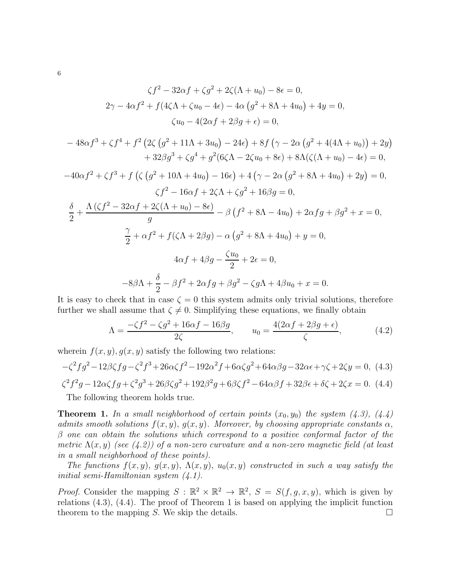6

$$
\zeta f^2 - 32\alpha f + \zeta g^2 + 2\zeta(\Lambda + u_0) - 8\epsilon = 0,
$$
  

$$
2\gamma - 4\alpha f^2 + f(4\zeta\Lambda + \zeta u_0 - 4\epsilon) - 4\alpha (g^2 + 8\Lambda + 4u_0) + 4y = 0,
$$
  

$$
\zeta u_0 - 4(2\alpha f + 2\beta g + \epsilon) = 0,
$$

$$
-48\alpha f^{3} + \zeta f^{4} + f^{2} (2\zeta (g^{2} + 11\Lambda + 3u_{0}) - 24\epsilon) + 8f (\gamma - 2\alpha (g^{2} + 4(4\Lambda + u_{0})) + 2y)
$$
  
+ 32\beta g^{3} + \zeta g^{4} + g^{2}(6\zeta\Lambda - 2\zeta u\_{0} + 8\epsilon) + 8\Lambda(\zeta(\Lambda + u\_{0}) - 4\epsilon) = 0,  
-40\alpha f^{2} + \zeta f^{3} + f (\zeta (g^{2} + 10\Lambda + 4u\_{0}) - 16\epsilon) + 4(\gamma - 2\alpha (g^{2} + 8\Lambda + 4u\_{0}) + 2y) = 0,  
\n\zeta f^{2} - 16\alpha f + 2\zeta\Lambda + \zeta g^{2} + 16\beta g = 0,  
\n\frac{\delta}{2} + \frac{\Lambda(\zeta f^{2} - 32\alpha f + 2\zeta(\Lambda + u\_{0}) - 8\epsilon)}{g} - \beta (f^{2} + 8\Lambda - 4u\_{0}) + 2\alpha fg + \beta g^{2} + x = 0,  
\n\frac{\gamma}{2} + \alpha f^{2} + f(\zeta\Lambda + 2\beta g) - \alpha (g^{2} + 8\Lambda + 4u\_{0}) + y = 0,  
\n4\alpha f + 4\beta g - \frac{\zeta u\_{0}}{2} + 2\epsilon = 0,  
\n-8\beta\Lambda + \frac{\delta}{2} - \beta f^{2} + 2\alpha fg + \beta g^{2} - \zeta g\Lambda + 4\beta u\_{0} + x = 0.

It is easy to check that in case  $\zeta = 0$  this system admits only trivial solutions, therefore further we shall assume that  $\zeta \neq 0$ . Simplifying these equations, we finally obtain

$$
\Lambda = \frac{-\zeta f^2 - \zeta g^2 + 16\alpha f - 16\beta g}{2\zeta}, \qquad u_0 = \frac{4(2\alpha f + 2\beta g + \epsilon)}{\zeta}, \tag{4.2}
$$

wherein  $f(x, y), g(x, y)$  satisfy the following two relations:

$$
-\zeta^2 f g^2 - 12\beta \zeta f g - \zeta^2 f^3 + 26\alpha \zeta f^2 - 192\alpha^2 f + 6\alpha \zeta g^2 + 64\alpha \beta g - 32\alpha \epsilon + \gamma \zeta + 2\zeta y = 0, \tag{4.3}
$$

$$
\zeta^2 f^2 g - 12\alpha \zeta f g + \zeta^2 g^3 + 26\beta \zeta g^2 + 192\beta^2 g + 6\beta \zeta f^2 - 64\alpha \beta f + 32\beta \epsilon + \delta \zeta + 2\zeta x = 0.
$$
 (4.4)  
The following theorem holds true

The following theorem holds true.

**Theorem 1.** In a small neighborhood of certain points  $(x_0, y_0)$  the system  $(4.3)$ ,  $(4.4)$ admits smooth solutions  $f(x, y), g(x, y)$ . Moreover, by choosing appropriate constants  $\alpha$ ,  $\beta$  one can obtain the solutions which correspond to a positive conformal factor of the metric  $\Lambda(x, y)$  (see (4.2)) of a non-zero curvature and a non-zero magnetic field (at least in a small neighborhood of these points).

The functions  $f(x, y)$ ,  $g(x, y)$ ,  $\Lambda(x, y)$ ,  $u_0(x, y)$  constructed in such a way satisfy the initial semi-Hamiltonian system (4.1).

*Proof.* Consider the mapping  $S : \mathbb{R}^2 \times \mathbb{R}^2 \to \mathbb{R}^2$ ,  $S = S(f, g, x, y)$ , which is given by relations (4.3), (4.4). The proof of Theorem 1 is based on applying the implicit function theorem to the mapping S. We skip the details.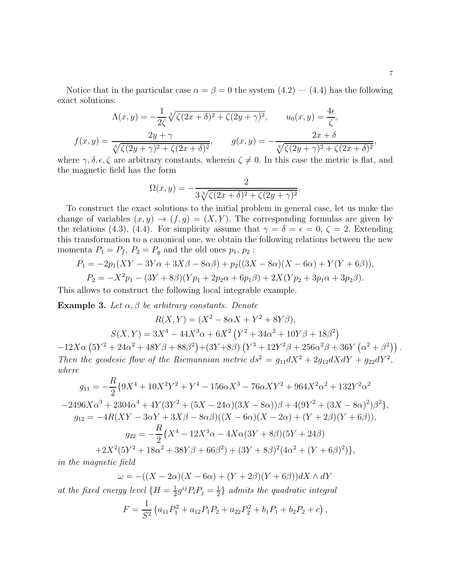Notice that in the particular case  $\alpha = \beta = 0$  the system  $(4.2) - (4.4)$  has the following exact solutions:

$$
\Lambda(x,y) = -\frac{1}{2\zeta} \sqrt[3]{\zeta(2x+\delta)^2 + \zeta(2y+\gamma)^2}, \qquad u_0(x,y) = \frac{4\epsilon}{\zeta},
$$

$$
f(x,y) = \frac{2y+\gamma}{\sqrt[3]{\zeta(2y+\gamma)^2 + \zeta(2x+\delta)^2}}, \qquad g(x,y) = -\frac{2x+\delta}{\sqrt[3]{\zeta(2y+\gamma)^2 + \zeta(2x+\delta)^2}},
$$

where  $\gamma, \delta, \epsilon, \zeta$  are arbitrary constants, wherein  $\zeta \neq 0$ . In this case the metric is flat, and the magnetic field has the form

$$
\Omega(x, y) = -\frac{2}{3\sqrt[3]{\zeta(2x + \delta)^2 + \zeta(2y + \gamma)^2}}.
$$

To construct the exact solutions to the initial problem in general case, let us make the change of variables  $(x, y) \rightarrow (f, g) = (X, Y)$ . The corresponding formulas are given by the relations (4.3), (4.4). For simplicity assume that  $\gamma = \delta = \epsilon = 0, \zeta = 2$ . Extending this transformation to a canonical one, we obtain the following relations between the new momenta  $P_1 = P_f$ ,  $P_2 = P_g$  and the old ones  $p_1$ ,  $p_2$ :

$$
P_1 = -2p_1(XY - 3Y\alpha + 3X\beta - 8\alpha\beta) + p_2((3X - 8\alpha)(X - 6\alpha) + Y(Y + 6\beta)),
$$
  
\n
$$
P_2 = -X^2p_1 - (3Y + 8\beta)(Yp_1 + 2p_2\alpha + 6p_1\beta) + 2X(Yp_2 + 3p_1\alpha + 3p_2\beta).
$$

This allows to construct the following local integrable example.

Example 3. Let  $\alpha, \beta$  be arbitrary constants. Denote

$$
R(X,Y) = (X^2 - 8\alpha X + Y^2 + 8Y\beta),
$$
  
\n
$$
S(X,Y) = 3X^4 - 44X^3\alpha + 6X^2(Y^2 + 34\alpha^2 + 10Y\beta + 18\beta^2)
$$
  
\n
$$
-12X\alpha (5Y^2 + 24\alpha^2 + 48Y\beta + 88\beta^2) + (3Y + 8\beta) (Y^3 + 12Y^2\beta + 256\alpha^2\beta + 36Y(\alpha^2 + \beta^2)).
$$
  
\nThen the geodesic flow of the Riemannian metric  $ds^2 = g_{11}dX^2 + 2g_{12}dXdY + g_{22}dY^2$ ,  
\nwhere

$$
g_{11} = -\frac{R}{2} \{9X^4 + 10X^2Y^2 + Y^4 - 156\alpha X^3 - 76\alpha XY^2 + 964X^2\alpha^2 + 132Y^2\alpha^2
$$
  
\n
$$
-2496X\alpha^3 + 2304\alpha^4 + 4Y(3Y^2 + (5X - 24\alpha)(3X - 8\alpha))\beta + 4(9Y^2 + (3X - 8\alpha)^2)\beta^2\},
$$
  
\n
$$
g_{12} = -4R(XY - 3\alpha Y + 3X\beta - 8\alpha\beta)((X - 6\alpha)(X - 2\alpha) + (Y + 2\beta)(Y + 6\beta)),
$$
  
\n
$$
g_{22} = -\frac{R}{2} \{X^4 - 12X^3\alpha - 4X\alpha(3Y + 8\beta)(5Y + 24\beta)
$$
  
\n
$$
+2X^2(5Y^2 + 18\alpha^2 + 38Y\beta + 66\beta^2) + (3Y + 8\beta)^2(4\alpha^2 + (Y + 6\beta)^2)\},
$$
  
\nin the magnetic field

$$
\omega = -((X - 2\alpha)(X - 6\alpha) + (Y + 2\beta)(Y + 6\beta))dX \wedge dY
$$

at the fixed energy level  $\{H=\frac{1}{2}\}$  $\frac{1}{2}g^{ij}P_{i}P_{j} = \frac{1}{2}$  $\frac{1}{2}$  admits the quadratic integral

$$
F = \frac{1}{S^2} \left( a_{11} P_1^2 + a_{12} P_1 P_2 + a_{22} P_2^2 + b_1 P_1 + b_2 P_2 + c \right),
$$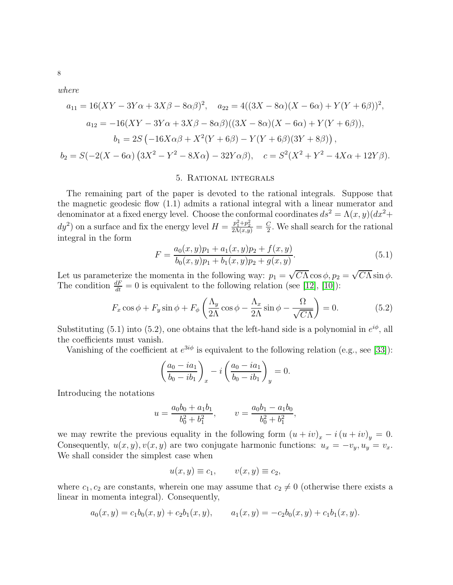where

$$
a_{11} = 16(XY - 3Y\alpha + 3X\beta - 8\alpha\beta)^2, \quad a_{22} = 4((3X - 8\alpha)(X - 6\alpha) + Y(Y + 6\beta))^2,
$$
  
\n
$$
a_{12} = -16(XY - 3Y\alpha + 3X\beta - 8\alpha\beta)((3X - 8\alpha)(X - 6\alpha) + Y(Y + 6\beta)),
$$
  
\n
$$
b_1 = 2S(-16X\alpha\beta + X^2(Y + 6\beta) - Y(Y + 6\beta)(3Y + 8\beta)),
$$
  
\n
$$
b_2 = S(-2(X - 6\alpha)(3X^2 - Y^2 - 8X\alpha) - 32Y\alpha\beta), \quad c = S^2(X^2 + Y^2 - 4X\alpha + 12Y\beta).
$$

#### 5. Rational integrals

The remaining part of the paper is devoted to the rational integrals. Suppose that the magnetic geodesic flow (1.1) admits a rational integral with a linear numerator and denominator at a fixed energy level. Choose the conformal coordinates  $ds^2 = \Lambda(x, y)(dx^2 +$  $dy^2$ ) on a surface and fix the energy level  $H = \frac{p_1^2 + p_2^2}{2\Lambda(x,y)} = \frac{C}{2}$  $\frac{C}{2}$ . We shall search for the rational integral in the form

$$
F = \frac{a_0(x, y)p_1 + a_1(x, y)p_2 + f(x, y)}{b_0(x, y)p_1 + b_1(x, y)p_2 + g(x, y)}.
$$
\n(5.1)

Let us parameterize the momenta in the following way:  $p_1 = \sqrt{C\Lambda} \cos \phi, p_2 = \sqrt{C\Lambda} \sin \phi$ . The condition  $\frac{dF}{dt} = 0$  is equivalent to the following relation (see [\[12\]](#page-19-6), [\[10\]](#page-19-4)):

$$
F_x \cos \phi + F_y \sin \phi + F_\phi \left(\frac{\Lambda_y}{2\Lambda} \cos \phi - \frac{\Lambda_x}{2\Lambda} \sin \phi - \frac{\Omega}{\sqrt{C\Lambda}}\right) = 0.
$$
 (5.2)

Substituting (5.1) into (5.2), one obtains that the left-hand side is a polynomial in  $e^{i\phi}$ , all the coefficients must vanish.

Vanishing of the coefficient at  $e^{3i\phi}$  is equivalent to the following relation (e.g., see [\[33\]](#page-20-5)):

$$
\left(\frac{a_0 - ia_1}{b_0 - ib_1}\right)_x - i \left(\frac{a_0 - ia_1}{b_0 - ib_1}\right)_y = 0.
$$

Introducing the notations

$$
u = \frac{a_0b_0 + a_1b_1}{b_0^2 + b_1^2}, \qquad v = \frac{a_0b_1 - a_1b_0}{b_0^2 + b_1^2},
$$

we may rewrite the previous equality in the following form  $(u + iv)_x - i(u + iv)_y = 0$ . Consequently,  $u(x, y)$ ,  $v(x, y)$  are two conjugate harmonic functions:  $u_x = -v_y$ ,  $u_y = v_x$ . We shall consider the simplest case when

$$
u(x, y) \equiv c_1, \qquad v(x, y) \equiv c_2,
$$

where  $c_1, c_2$  are constants, wherein one may assume that  $c_2 \neq 0$  (otherwise there exists a linear in momenta integral). Consequently,

$$
a_0(x, y) = c_1b_0(x, y) + c_2b_1(x, y), \qquad a_1(x, y) = -c_2b_0(x, y) + c_1b_1(x, y).
$$

8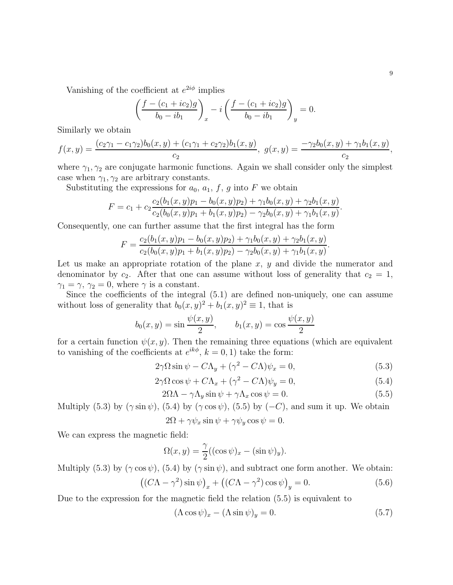Vanishing of the coefficient at  $e^{2i\phi}$  implies

$$
\left(\frac{f - (c_1 + ic_2)g}{b_0 - ib_1}\right)_x - i \left(\frac{f - (c_1 + ic_2)g}{b_0 - ib_1}\right)_y = 0.
$$

Similarly we obtain

$$
f(x,y) = \frac{(c_2\gamma_1 - c_1\gamma_2)b_0(x,y) + (c_1\gamma_1 + c_2\gamma_2)b_1(x,y)}{c_2}, \ g(x,y) = \frac{-\gamma_2b_0(x,y) + \gamma_1b_1(x,y)}{c_2},
$$

where  $\gamma_1, \gamma_2$  are conjugate harmonic functions. Again we shall consider only the simplest case when  $\gamma_1, \gamma_2$  are arbitrary constants.

Substituting the expressions for  $a_0$ ,  $a_1$ ,  $f$ ,  $g$  into  $F$  we obtain

$$
F = c_1 + c_2 \frac{c_2(b_1(x, y)p_1 - b_0(x, y)p_2) + \gamma_1 b_0(x, y) + \gamma_2 b_1(x, y)}{c_2(b_0(x, y)p_1 + b_1(x, y)p_2) - \gamma_2 b_0(x, y) + \gamma_1 b_1(x, y)}.
$$

Consequently, one can further assume that the first integral has the form

$$
F = \frac{c_2(b_1(x, y)p_1 - b_0(x, y)p_2) + \gamma_1 b_0(x, y) + \gamma_2 b_1(x, y)}{c_2(b_0(x, y)p_1 + b_1(x, y)p_2) - \gamma_2 b_0(x, y) + \gamma_1 b_1(x, y)}.
$$

Let us make an appropriate rotation of the plane  $x, y$  and divide the numerator and denominator by  $c_2$ . After that one can assume without loss of generality that  $c_2 = 1$ ,  $\gamma_1 = \gamma$ ,  $\gamma_2 = 0$ , where  $\gamma$  is a constant.

Since the coefficients of the integral (5.1) are defined non-uniquely, one can assume without loss of generality that  $b_0(x, y)^2 + b_1(x, y)^2 \equiv 1$ , that is

$$
b_0(x, y) = \sin \frac{\psi(x, y)}{2}
$$
,  $b_1(x, y) = \cos \frac{\psi(x, y)}{2}$ 

for a certain function  $\psi(x, y)$ . Then the remaining three equations (which are equivalent to vanishing of the coefficients at  $e^{ik\phi}$ ,  $k = 0, 1$ ) take the form:

$$
2\gamma\Omega\sin\psi - C\Lambda_y + (\gamma^2 - C\Lambda)\psi_x = 0,
$$
\n(5.3)

$$
2\gamma\Omega\cos\psi + C\Lambda_x + (\gamma^2 - C\Lambda)\psi_y = 0, \tag{5.4}
$$

$$
2\Omega\Lambda - \gamma\Lambda_y \sin\psi + \gamma\Lambda_x \cos\psi = 0.
$$
 (5.5)

Multiply (5.3) by  $(\gamma \sin \psi)$ , (5.4) by  $(\gamma \cos \psi)$ , (5.5) by  $(-C)$ , and sum it up. We obtain

$$
2\Omega + \gamma \psi_x \sin \psi + \gamma \psi_y \cos \psi = 0.
$$

We can express the magnetic field:

$$
\Omega(x, y) = \frac{\gamma}{2} ((\cos \psi)_x - (\sin \psi)_y).
$$

Multiply (5.3) by ( $\gamma \cos \psi$ ), (5.4) by ( $\gamma \sin \psi$ ), and subtract one form another. We obtain:

$$
((C\Lambda - \gamma^2)\sin\psi)_x + ((C\Lambda - \gamma^2)\cos\psi)_y = 0.
$$
\n(5.6)

Due to the expression for the magnetic field the relation (5.5) is equivalent to

$$
(\Lambda \cos \psi)_x - (\Lambda \sin \psi)_y = 0. \tag{5.7}
$$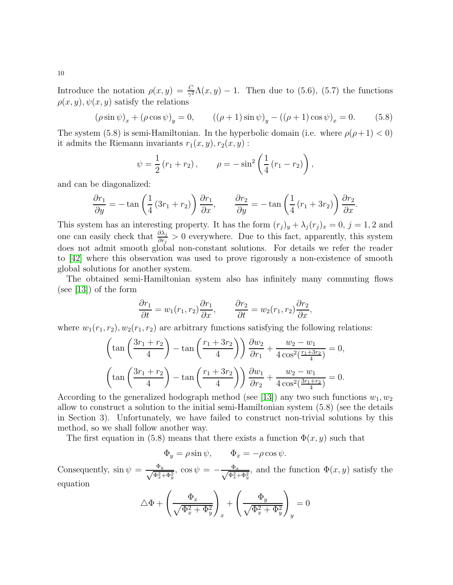Introduce the notation  $\rho(x, y) = \frac{C}{\gamma^2} \Lambda(x, y) - 1$ . Then due to (5.6), (5.7) the functions  $\rho(x, y), \psi(x, y)$  satisfy the relations

$$
(\rho \sin \psi)_x + (\rho \cos \psi)_y = 0, \qquad ((\rho + 1) \sin \psi)_y - ((\rho + 1) \cos \psi)_x = 0. \tag{5.8}
$$

The system (5.8) is semi-Hamiltonian. In the hyperbolic domain (i.e. where  $\rho(\rho+1) < 0$ ) it admits the Riemann invariants  $r_1(x, y), r_2(x, y)$ :

$$
\psi = \frac{1}{2} (r_1 + r_2), \qquad \rho = -\sin^2 \left( \frac{1}{4} (r_1 - r_2) \right),
$$

and can be diagonalized:

$$
\frac{\partial r_1}{\partial y} = -\tan\left(\frac{1}{4}\left(3r_1 + r_2\right)\right)\frac{\partial r_1}{\partial x}, \qquad \frac{\partial r_2}{\partial y} = -\tan\left(\frac{1}{4}\left(r_1 + 3r_2\right)\right)\frac{\partial r_2}{\partial x}.
$$

This system has an interesting property. It has the form  $(r_j)_y + \lambda_j (r_j)_x = 0$ ,  $j = 1, 2$  and one can easily check that  $\frac{\partial \lambda_j}{\partial r_j} > 0$  everywhere. Due to this fact, apparently, this system does not admit smooth global non-constant solutions. For details we refer the reader to [\[42\]](#page-20-8) where this observation was used to prove rigorously a non-existence of smooth global solutions for another system.

The obtained semi-Hamiltonian system also has infinitely many commuting flows (see [\[13\]](#page-19-7)) of the form

$$
\frac{\partial r_1}{\partial t} = w_1(r_1, r_2) \frac{\partial r_1}{\partial x}, \qquad \frac{\partial r_2}{\partial t} = w_2(r_1, r_2) \frac{\partial r_2}{\partial x},
$$

where  $w_1(r_1, r_2)$ ,  $w_2(r_1, r_2)$  are arbitrary functions satisfying the following relations:

$$
\left(\tan\left(\frac{3r_1+r_2}{4}\right)-\tan\left(\frac{r_1+3r_2}{4}\right)\right)\frac{\partial w_2}{\partial r_1}+\frac{w_2-w_1}{4\cos^2(\frac{r_1+3r_2}{4})}=0,
$$

$$
\left(\tan\left(\frac{3r_1+r_2}{4}\right)-\tan\left(\frac{r_1+3r_2}{4}\right)\right)\frac{\partial w_1}{\partial r_2}+\frac{w_2-w_1}{4\cos^2(\frac{3r_1+r_2}{4})}=0.
$$

According to the generalized hodograph method (see [\[13\]](#page-19-7)) any two such functions  $w_1, w_2$ allow to construct a solution to the initial semi-Hamiltonian system (5.8) (see the details in Section 3). Unfortunately, we have failed to construct non-trivial solutions by this method, so we shall follow another way.

The first equation in (5.8) means that there exists a function  $\Phi(x, y)$  such that

$$
\Phi_y = \rho \sin \psi, \qquad \Phi_x = -\rho \cos \psi.
$$

Consequently,  $\sin \psi = \frac{\Phi_y}{\sqrt{\Phi^2-1}}$  $\frac{\Phi_y}{\Phi_x^2+\Phi_y^2},\ \cos\psi\,=\,-\frac{\Phi_x}{\sqrt{\Phi_x^2+\Phi_y^2}}$  $\frac{\Phi_x}{\Phi_x^2 + \Phi_y^2}$ , and the function  $\Phi(x, y)$  satisfy the equation

$$
\Delta \Phi + \left(\frac{\Phi_x}{\sqrt{\Phi_x^2 + \Phi_y^2}}\right)_x + \left(\frac{\Phi_y}{\sqrt{\Phi_x^2 + \Phi_y^2}}\right)_y = 0
$$

10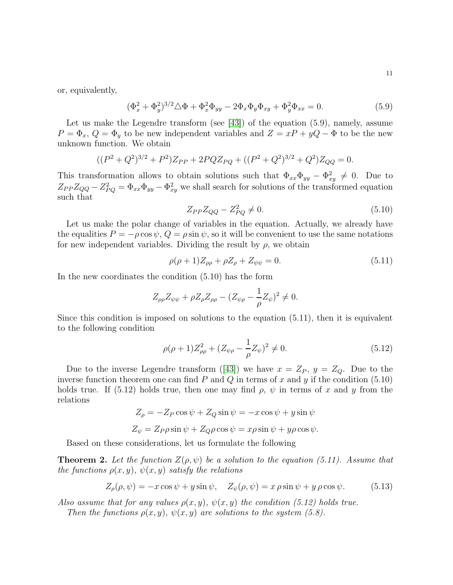or, equivalently,

$$
(\Phi_x^2 + \Phi_y^2)^{3/2} \Delta \Phi + \Phi_x^2 \Phi_{yy} - 2\Phi_x \Phi_y \Phi_{xy} + \Phi_y^2 \Phi_{xx} = 0.
$$
 (5.9)

Let us make the Legendre transform (see  $[43]$ ) of the equation  $(5.9)$ , namely, assume  $P = \Phi_x, Q = \Phi_y$  to be new independent variables and  $Z = xP + yQ - \Phi$  to be the new unknown function. We obtain

$$
((P2 + Q2)3/2 + P2)ZPP + 2PQZPQ + ((P2 + Q2)3/2 + Q2)ZQQ = 0.
$$

This transformation allows to obtain solutions such that  $\Phi_{xx}\Phi_{yy} - \Phi_{xy}^2 \neq 0$ . Due to  $Z_{PP}Z_{QQ} - Z_{PQ}^2 = \Phi_{xx}\Phi_{yy} - \Phi_{xy}^2$  we shall search for solutions of the transformed equation such that

$$
Z_{PP}Z_{QQ} - Z_{PQ}^2 \neq 0. \tag{5.10}
$$

Let us make the polar change of variables in the equation. Actually, we already have the equalities  $P = -\rho \cos \psi$ ,  $Q = \rho \sin \psi$ , so it will be convenient to use the same notations for new independent variables. Dividing the result by  $\rho$ , we obtain

$$
\rho(\rho + 1)Z_{\rho\rho} + \rho Z_{\rho} + Z_{\psi\psi} = 0.
$$
\n(5.11)

In the new coordinates the condition (5.10) has the form

$$
Z_{\rho\rho}Z_{\psi\psi} + \rho Z_{\rho}Z_{\rho\rho} - (Z_{\psi\rho} - \frac{1}{\rho}Z_{\psi})^2 \neq 0.
$$

Since this condition is imposed on solutions to the equation (5.11), then it is equivalent to the following condition

$$
\rho(\rho+1)Z_{\rho\rho}^2 + (Z_{\psi\rho} - \frac{1}{\rho}Z_{\psi})^2 \neq 0.
$$
\n(5.12)

Due to the inverse Legendre transform ([\[43\]](#page-20-9)) we have  $x = Z_P$ ,  $y = Z_Q$ . Due to the inverse function theorem one can find P and Q in terms of x and y if the condition  $(5.10)$ holds true. If (5.12) holds true, then one may find  $\rho$ ,  $\psi$  in terms of x and y from the relations

$$
Z_{\rho} = -Z_P \cos \psi + Z_Q \sin \psi = -x \cos \psi + y \sin \psi
$$
  

$$
Z_{\psi} = Z_P \rho \sin \psi + Z_Q \rho \cos \psi = x \rho \sin \psi + y \rho \cos \psi.
$$

Based on these considerations, let us formulate the following

**Theorem 2.** Let the function  $Z(\rho, \psi)$  be a solution to the equation (5.11). Assume that the functions  $\rho(x, y)$ ,  $\psi(x, y)$  satisfy the relations

$$
Z_{\rho}(\rho,\psi) = -x\cos\psi + y\sin\psi, \quad Z_{\psi}(\rho,\psi) = x\rho\sin\psi + y\rho\cos\psi.
$$
 (5.13)

Also assume that for any values  $\rho(x, y)$ ,  $\psi(x, y)$  the condition (5.12) holds true.

Then the functions  $\rho(x, y)$ ,  $\psi(x, y)$  are solutions to the system (5.8).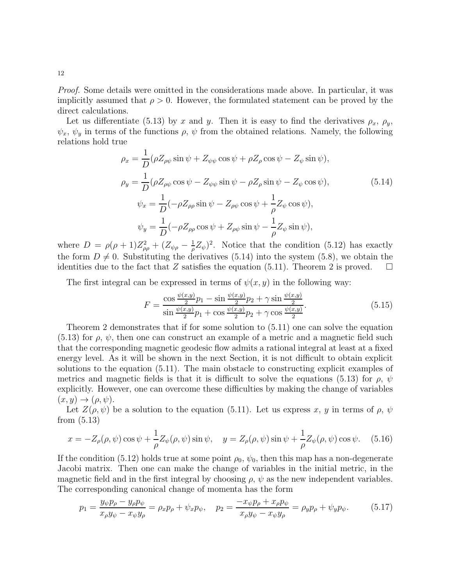Proof. Some details were omitted in the considerations made above. In particular, it was implicitly assumed that  $\rho > 0$ . However, the formulated statement can be proved by the direct calculations.

Let us differentiate (5.13) by x and y. Then it is easy to find the derivatives  $\rho_x$ ,  $\rho_y$ ,  $\psi_x, \psi_y$  in terms of the functions  $\rho, \psi$  from the obtained relations. Namely, the following relations hold true

$$
\rho_x = \frac{1}{D} (\rho Z_{\rho\psi} \sin \psi + Z_{\psi\psi} \cos \psi + \rho Z_{\rho} \cos \psi - Z_{\psi} \sin \psi),
$$
  
\n
$$
\rho_y = \frac{1}{D} (\rho Z_{\rho\psi} \cos \psi - Z_{\psi\psi} \sin \psi - \rho Z_{\rho} \sin \psi - Z_{\psi} \cos \psi),
$$
  
\n
$$
\psi_x = \frac{1}{D} (-\rho Z_{\rho\rho} \sin \psi - Z_{\rho\psi} \cos \psi + \frac{1}{\rho} Z_{\psi} \cos \psi),
$$
  
\n
$$
\psi_y = \frac{1}{D} (-\rho Z_{\rho\rho} \cos \psi + Z_{\rho\psi} \sin \psi - \frac{1}{\rho} Z_{\psi} \sin \psi),
$$
\n(5.14)

where  $D = \rho(\rho + 1)Z_{\rho\rho}^2 + (Z_{\psi\rho} - \frac{1}{\rho})$  $\frac{1}{\rho}Z_{\psi}$ <sup>2</sup>. Notice that the condition (5.12) has exactly the form  $D \neq 0$ . Substituting the derivatives (5.14) into the system (5.8), we obtain the identities due to the fact that Z satisfies the equation (5.11). Theorem 2 is proved. identities due to the fact that  $Z$  satisfies the equation (5.11). Theorem 2 is proved.

The first integral can be expressed in terms of  $\psi(x, y)$  in the following way:

$$
F = \frac{\cos\frac{\psi(x,y)}{2}p_1 - \sin\frac{\psi(x,y)}{2}p_2 + \gamma\sin\frac{\psi(x,y)}{2}}{\sin\frac{\psi(x,y)}{2}p_1 + \cos\frac{\psi(x,y)}{2}p_2 + \gamma\cos\frac{\psi(x,y)}{2}}.
$$
(5.15)

Theorem 2 demonstrates that if for some solution to (5.11) one can solve the equation (5.13) for  $\rho$ ,  $\psi$ , then one can construct an example of a metric and a magnetic field such that the corresponding magnetic geodesic flow admits a rational integral at least at a fixed energy level. As it will be shown in the next Section, it is not difficult to obtain explicit solutions to the equation (5.11). The main obstacle to constructing explicit examples of metrics and magnetic fields is that it is difficult to solve the equations (5.13) for  $\rho$ ,  $\psi$ explicitly. However, one can overcome these difficulties by making the change of variables  $(x, y) \rightarrow (\rho, \psi).$ 

Let  $Z(\rho, \psi)$  be a solution to the equation (5.11). Let us express x, y in terms of  $\rho$ ,  $\psi$ from (5.13)

$$
x = -Z_{\rho}(\rho, \psi)\cos\psi + \frac{1}{\rho}Z_{\psi}(\rho, \psi)\sin\psi, \quad y = Z_{\rho}(\rho, \psi)\sin\psi + \frac{1}{\rho}Z_{\psi}(\rho, \psi)\cos\psi.
$$
 (5.16)

If the condition (5.12) holds true at some point  $\rho_0$ ,  $\psi_0$ , then this map has a non-degenerate Jacobi matrix. Then one can make the change of variables in the initial metric, in the magnetic field and in the first integral by choosing  $\rho$ ,  $\psi$  as the new independent variables. The corresponding canonical change of momenta has the form

$$
p_1 = \frac{y_{\psi} p_{\rho} - y_{\rho} p_{\psi}}{x_{\rho} y_{\psi} - x_{\psi} y_{\rho}} = \rho_x p_{\rho} + \psi_x p_{\psi}, \quad p_2 = \frac{-x_{\psi} p_{\rho} + x_{\rho} p_{\psi}}{x_{\rho} y_{\psi} - x_{\psi} y_{\rho}} = \rho_y p_{\rho} + \psi_y p_{\psi}.
$$
 (5.17)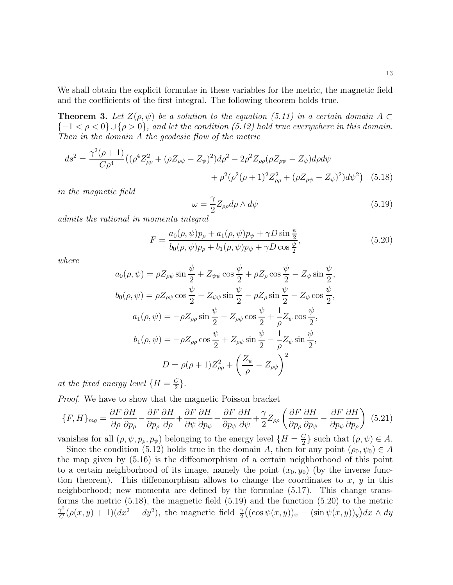We shall obtain the explicit formulae in these variables for the metric, the magnetic field and the coefficients of the first integral. The following theorem holds true.

**Theorem 3.** Let  $Z(\rho, \psi)$  be a solution to the equation (5.11) in a certain domain A ⊂  ${-1 < \rho < 0} \cup {\rho > 0}$ , and let the condition (5.12) hold true everywhere in this domain. Then in the domain A the geodesic flow of the metric

$$
ds^{2} = \frac{\gamma^{2}(\rho+1)}{C\rho^{4}} \left( (\rho^{4} Z_{\rho\rho}^{2} + (\rho Z_{\rho\psi} - Z_{\psi})^{2}) d\rho^{2} - 2\rho^{2} Z_{\rho\rho} (\rho Z_{\rho\psi} - Z_{\psi}) d\rho d\psi + \rho^{2} (\rho^{2} (\rho+1)^{2} Z_{\rho\rho}^{2} + (\rho Z_{\rho\psi} - Z_{\psi})^{2}) d\psi^{2} \right)
$$
(5.18)

in the magnetic field

$$
\omega = \frac{\gamma}{2} Z_{\rho \rho} d\rho \wedge d\psi \tag{5.19}
$$

admits the rational in momenta integral

$$
F = \frac{a_0(\rho, \psi)p_\rho + a_1(\rho, \psi)p_\psi + \gamma D \sin \frac{\psi}{2}}{b_0(\rho, \psi)p_\rho + b_1(\rho, \psi)p_\psi + \gamma D \cos \frac{\psi}{2}},
$$
(5.20)

where

$$
a_0(\rho, \psi) = \rho Z_{\rho\psi} \sin\frac{\psi}{2} + Z_{\psi\psi} \cos\frac{\psi}{2} + \rho Z_{\rho} \cos\frac{\psi}{2} - Z_{\psi} \sin\frac{\psi}{2},
$$
  
\n
$$
b_0(\rho, \psi) = \rho Z_{\rho\psi} \cos\frac{\psi}{2} - Z_{\psi\psi} \sin\frac{\psi}{2} - \rho Z_{\rho} \sin\frac{\psi}{2} - Z_{\psi} \cos\frac{\psi}{2},
$$
  
\n
$$
a_1(\rho, \psi) = -\rho Z_{\rho\rho} \sin\frac{\psi}{2} - Z_{\rho\psi} \cos\frac{\psi}{2} + \frac{1}{\rho} Z_{\psi} \cos\frac{\psi}{2},
$$
  
\n
$$
b_1(\rho, \psi) = -\rho Z_{\rho\rho} \cos\frac{\psi}{2} + Z_{\rho\psi} \sin\frac{\psi}{2} - \frac{1}{\rho} Z_{\psi} \sin\frac{\psi}{2},
$$
  
\n
$$
D = \rho(\rho + 1) Z_{\rho\rho}^2 + \left(\frac{Z_{\psi}}{\rho} - Z_{\rho\psi}\right)^2
$$

at the fixed energy level  $\{H=\frac{C}{2}\}$  $\frac{C}{2}$ .

Proof. We have to show that the magnetic Poisson bracket

$$
\{F, H\}_{mg} = \frac{\partial F}{\partial \rho} \frac{\partial H}{\partial p_{\rho}} - \frac{\partial F}{\partial p_{\rho}} \frac{\partial H}{\partial \rho} + \frac{\partial F}{\partial \psi} \frac{\partial H}{\partial p_{\psi}} - \frac{\partial F}{\partial p_{\psi}} \frac{\partial H}{\partial \psi} + \frac{\gamma}{2} Z_{\rho \rho} \left( \frac{\partial F}{\partial p_{\rho}} \frac{\partial H}{\partial p_{\psi}} - \frac{\partial F}{\partial p_{\psi}} \frac{\partial H}{\partial p_{\rho}} \right) (5.21)
$$

vanishes for all  $(\rho, \psi, p_{\rho}, p_{\psi})$  belonging to the energy level  $\{H = \frac{C}{2}\}$  $\{C}{2}$  such that  $(\rho, \psi) \in A$ .

Since the condition (5.12) holds true in the domain A, then for any point  $(\rho_0, \psi_0) \in A$ the map given by (5.16) is the diffeomorphism of a certain neighborhood of this point to a certain neighborhood of its image, namely the point  $(x_0, y_0)$  (by the inverse function theorem). This diffeomorphism allows to change the coordinates to  $x, y$  in this neighborhood; new momenta are defined by the formulae (5.17). This change transforms the metric (5.18), the magnetic field (5.19) and the function (5.20) to the metric  $\gamma^2$  $\frac{\gamma^2}{C}(\rho(x,y)+1)(dx^2+dy^2)$ , the magnetic field  $\frac{\gamma}{2}((\cos\psi(x,y))_x-(\sin\psi(x,y))_y)dx \wedge dy$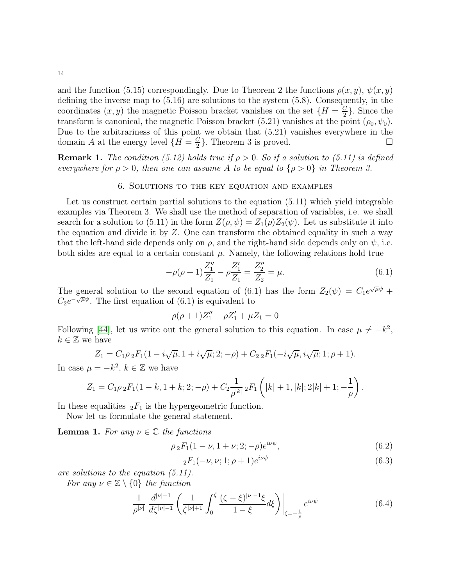and the function (5.15) correspondingly. Due to Theorem 2 the functions  $\rho(x, y)$ ,  $\psi(x, y)$ defining the inverse map to (5.16) are solutions to the system (5.8). Consequently, in the coordinates  $(x, y)$  the magnetic Poisson bracket vanishes on the set  $\{H = \frac{C}{2}\}$  $\frac{C}{2}$ . Since the transform is canonical, the magnetic Poisson bracket (5.21) vanishes at the point  $(\rho_0, \psi_0)$ . Due to the arbitrariness of this point we obtain that (5.21) vanishes everywhere in the domain A at the energy level  $\{H = \frac{C}{2}\}$  $\frac{C}{2}$ . Theorem 3 is proved.

**Remark 1.** The condition (5.12) holds true if  $\rho > 0$ . So if a solution to (5.11) is defined everywhere for  $\rho > 0$ , then one can assume A to be equal to  $\{\rho > 0\}$  in Theorem 3.

#### 6. Solutions to the key equation and examples

Let us construct certain partial solutions to the equation (5.11) which yield integrable examples via Theorem 3. We shall use the method of separation of variables, i.e. we shall search for a solution to (5.11) in the form  $Z(\rho, \psi) = Z_1(\rho)Z_2(\psi)$ . Let us substitute it into the equation and divide it by  $Z$ . One can transform the obtained equality in such a way that the left-hand side depends only on  $\rho$ , and the right-hand side depends only on  $\psi$ , i.e. both sides are equal to a certain constant  $\mu$ . Namely, the following relations hold true

$$
-\rho(\rho+1)\frac{Z_1''}{Z_1} - \rho \frac{Z_1'}{Z_1} = \frac{Z_2''}{Z_2} = \mu.
$$
\n(6.1)

The general solution to the second equation of (6.1) has the form  $Z_2(\psi) = C_1 e^{\sqrt{\mu}\psi} + C_2 e^{\sqrt{\mu}\psi}$  $C_2e^{-\sqrt{\mu}\psi}$ . The first equation of (6.1) is equivalent to

$$
\rho(\rho+1)Z_1'' + \rho Z_1' + \mu Z_1 = 0
$$

Following [\[44\]](#page-20-10), let us write out the general solution to this equation. In case  $\mu \neq -k^2$ ,  $k \in \mathbb{Z}$  we have

$$
Z_1 = C_1 \rho_2 F_1 (1 - i \sqrt{\mu}, 1 + i \sqrt{\mu}; 2; -\rho) + C_2 {}_2F_1(-i \sqrt{\mu}, i \sqrt{\mu}; 1; \rho + 1).
$$

In case  $\mu = -k^2$ ,  $k \in \mathbb{Z}$  we have

$$
Z_1 = C_1 \rho_2 F_1(1 - k, 1 + k; 2; -\rho) + C_2 \frac{1}{\rho^{|k|}} {}_2F_1\left(|k| + 1, |k|; 2|k| + 1; -\frac{1}{\rho}\right).
$$

In these equalities  ${}_2F_1$  is the hypergeometric function.

Now let us formulate the general statement.

**Lemma 1.** For any  $\nu \in \mathbb{C}$  the functions

$$
\rho_2 F_1(1 - \nu, 1 + \nu; 2; -\rho) e^{i\nu\psi}, \tag{6.2}
$$

$$
{}_{2}F_{1}(-\nu,\nu;1;\rho+1)e^{i\nu\psi}
$$
\n(6.3)

are solutions to the equation (5.11).

For any  $\nu \in \mathbb{Z} \setminus \{0\}$  the function

$$
\frac{1}{\rho^{|\nu|}} \frac{d^{|\nu|-1}}{d\zeta^{|\nu|-1}} \left( \frac{1}{\zeta^{|\nu|+1}} \int_0^{\zeta} \frac{(\zeta-\xi)^{|\nu|-1}\xi}{1-\xi} d\xi \right) \Big|_{\zeta=-\frac{1}{\rho}} e^{i\nu\psi} \tag{6.4}
$$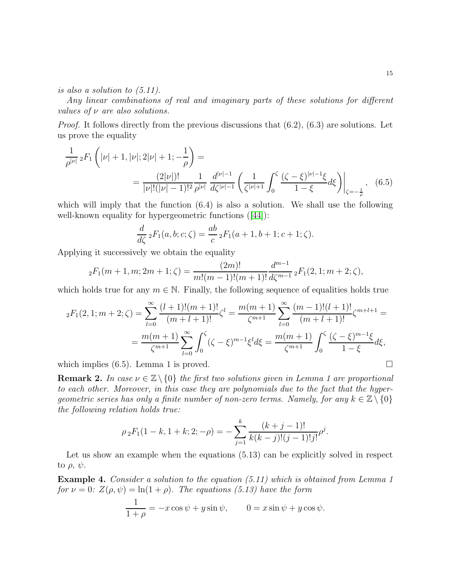is also a solution to (5.11).

Any linear combinations of real and imaginary parts of these solutions for different values of  $\nu$  are also solutions.

*Proof.* It follows directly from the previous discussions that  $(6.2)$ ,  $(6.3)$  are solutions. Let us prove the equality

$$
\frac{1}{\rho^{|\nu|}} {}_{2}F_{1}\left(|\nu|+1,|\nu|;2|\nu|+1;-\frac{1}{\rho}\right) =
$$
\n
$$
= \frac{(2|\nu|)!}{|\nu|!(|\nu|-1)!^{2}} \frac{1}{\rho^{|\nu|}} \frac{d^{|\nu|-1}}{d\zeta^{|\nu|-1}} \left(\frac{1}{\zeta^{|\nu|+1}} \int_{0}^{\zeta} \frac{(\zeta-\xi)^{|\nu|-1}\xi}{1-\xi} d\xi\right)\Big|_{\zeta=-\frac{1}{\rho}}, \quad (6.5)
$$

which will imply that the function  $(6.4)$  is also a solution. We shall use the following well-known equality for hypergeometric functions ([\[44\]](#page-20-10)):

$$
\frac{d}{d\zeta} {}_2F_1(a,b;c;\zeta) = \frac{ab}{c} {}_2F_1(a+1,b+1;c+1;\zeta).
$$

Applying it successively we obtain the equality

$$
{}_2F_1(m+1,m;2m+1;\zeta) = \frac{(2m)!}{m!(m-1)!(m+1)!} \frac{d^{m-1}}{d\zeta^{m-1}} {}_2F_1(2,1;m+2;\zeta),
$$

which holds true for any  $m \in \mathbb{N}$ . Finally, the following sequence of equalities holds true

$$
{}_{2}F_{1}(2,1;m+2;\zeta) = \sum_{l=0}^{\infty} \frac{(l+1)!(m+1)!}{(m+l+1)!} \zeta^{l} = \frac{m(m+1)}{\zeta^{m+1}} \sum_{l=0}^{\infty} \frac{(m-1)!(l+1)!}{(m+l+1)!} \zeta^{m+l+1} =
$$

$$
= \frac{m(m+1)}{\zeta^{m+1}} \sum_{l=0}^{\infty} \int_{0}^{\zeta} (\zeta - \xi)^{m-l} \xi^{l} d\xi = \frac{m(m+1)}{\zeta^{m+1}} \int_{0}^{\zeta} \frac{(\zeta - \xi)^{m-l} \xi}{1 - \xi} d\xi,
$$

which implies (6.5). Lemma 1 is proved.

**Remark 2.** In case  $\nu \in \mathbb{Z} \setminus \{0\}$  the first two solutions given in Lemma 1 are proportional to each other. Moreover, in this case they are polynomials due to the fact that the hypergeometric series has only a finite number of non-zero terms. Namely, for any  $k \in \mathbb{Z} \setminus \{0\}$ the following relation holds true:

$$
\rho_2 F_1(1 - k, 1 + k; 2; -\rho) = -\sum_{j=1}^k \frac{(k+j-1)!}{k(k-j)!(j-1)!j!} \rho^j.
$$

Let us show an example when the equations (5.13) can be explicitly solved in respect to  $\rho, \psi.$ 

Example 4. Consider a solution to the equation (5.11) which is obtained from Lemma 1 for  $\nu = 0$ :  $Z(\rho, \psi) = \ln(1 + \rho)$ . The equations (5.13) have the form

$$
\frac{1}{1+\rho} = -x\cos\psi + y\sin\psi, \qquad 0 = x\sin\psi + y\cos\psi.
$$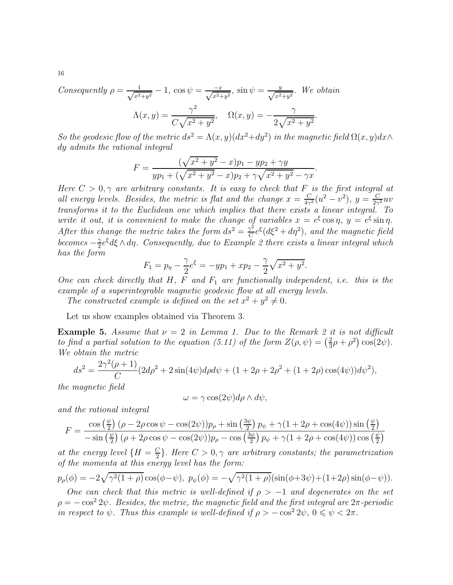Consequently  $\rho = \frac{1}{\sqrt{x^2}}$  $\frac{1}{x^2+y^2} - 1$ ,  $\cos \psi = \frac{-x}{\sqrt{x^2+y^2}}$ ,  $\sin \psi = \frac{y}{\sqrt{x^2+y^2}}$  $\frac{y}{x^2+y^2}$ . We obtain  $\Lambda(x,y) = \frac{\gamma^2}{\gamma}$  $\frac{1}{C\sqrt{x^2+y^2}}, \quad \Omega(x,y) = \gamma$  $\frac{1}{2\sqrt{x^2+y^2}}$ .

So the geodesic flow of the metric  $ds^2 = \Lambda(x, y) (dx^2 + dy^2)$  in the magnetic field  $\Omega(x, y) dx \wedge$ dy admits the rational integral

$$
F = \frac{(\sqrt{x^2 + y^2} - x)p_1 - yp_2 + \gamma y}{yp_1 + (\sqrt{x^2 + y^2} - x)p_2 + \gamma \sqrt{x^2 + y^2} - \gamma x}.
$$

Here  $C > 0$ ,  $\gamma$  are arbitrary constants. It is easy to check that F is the first integral at all energy levels. Besides, the metric is flat and the change  $x = \frac{C}{4\alpha}$  $\frac{C}{4\gamma^2}(u^2 - v^2), y = \frac{C}{2\gamma}$  $\frac{C}{2\gamma^2}uv$ transforms it to the Euclidean one which implies that there exists a linear integral. To write it out, it is convenient to make the change of variables  $x = e^{\xi} \cos \eta$ ,  $y = e^{\xi} \sin \eta$ . After this change the metric takes the form  $ds^2 = \frac{\gamma^2}{C}$  $\frac{\gamma^2}{C}e^{\xi}(d\xi^2+d\eta^2)$ , and the magnetic field becomes  $-\frac{\gamma}{2}$  $\frac{\gamma}{2}e^{\xi}d\xi\wedge d\eta$ . Consequently, due to Example 2 there exists a linear integral which has the form

$$
F_1 = p_{\eta} - \frac{\gamma}{2}e^{\xi} = -yp_1 + xp_2 - \frac{\gamma}{2}\sqrt{x^2 + y^2}.
$$

One can check directly that H, F and  $F_1$  are functionally independent, i.e. this is the example of a superintegrable magnetic geodesic flow at all energy levels.

The constructed example is defined on the set  $x^2 + y^2 \neq 0$ .

Let us show examples obtained via Theorem 3.

**Example 5.** Assume that  $\nu = 2$  in Lemma 1. Due to the Remark 2 it is not difficult to find a partial solution to the equation (5.11) of the form  $Z(\rho,\psi) = \left(\frac{2}{3}\right)$  $(\frac{2}{3}\rho + \rho^2) \cos(2\psi).$ We obtain the metric

$$
ds^{2} = \frac{2\gamma^{2}(\rho+1)}{C}(2d\rho^{2}+2\sin(4\psi)d\rho d\psi + (1+2\rho+2\rho^{2}+(1+2\rho)\cos(4\psi))d\psi^{2}),
$$

the magnetic field

$$
\omega = \gamma \cos(2\psi) d\rho \wedge d\psi,
$$

and the rational integral

$$
F = \frac{\cos\left(\frac{\psi}{2}\right)(\rho - 2\rho\cos\psi - \cos(2\psi))p_{\rho} + \sin\left(\frac{3\psi}{2}\right)p_{\psi} + \gamma(1 + 2\rho + \cos(4\psi))\sin\left(\frac{\psi}{2}\right)}{-\sin\left(\frac{\psi}{2}\right)(\rho + 2\rho\cos\psi - \cos(2\psi))p_{\rho} - \cos\left(\frac{3\psi}{2}\right)p_{\psi} + \gamma(1 + 2\rho + \cos(4\psi))\cos\left(\frac{\psi}{2}\right)}
$$

at the energy level  $\{H = \frac{C}{2}\}$  $\frac{C}{2}$ . Here  $C > 0, \gamma$  are arbitrary constants; the parametrization of the momenta at this energy level has the form:

$$
p_{\rho}(\phi) = -2\sqrt{\gamma^2(1+\rho)}\cos(\phi-\psi), \ p_{\psi}(\phi) = -\sqrt{\gamma^2(1+\rho)}(\sin(\phi+3\psi)+(1+2\rho)\sin(\phi-\psi)).
$$

One can check that this metric is well-defined if  $\rho > -1$  and degenerates on the set  $\rho = -\cos^2 2\psi$ . Besides, the metric, the magnetic field and the first integral are  $2\pi$ -periodic in respect to  $\psi$ . Thus this example is well-defined if  $\rho > -\cos^2 2\psi$ ,  $0 \le \psi < 2\pi$ .

16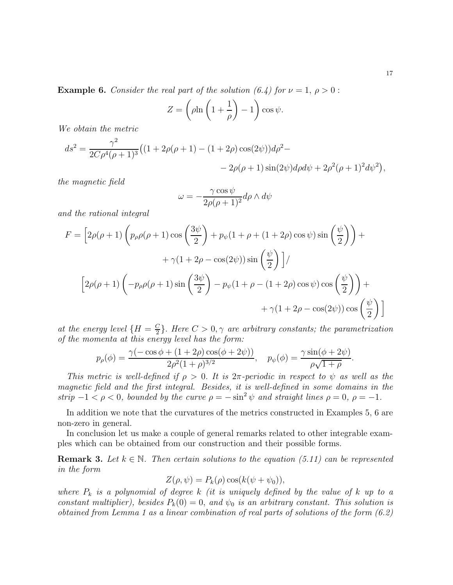**Example 6.** Consider the real part of the solution (6.4) for  $\nu = 1$ ,  $\rho > 0$ :

$$
Z = \left(\rho \ln\left(1 + \frac{1}{\rho}\right) - 1\right) \cos \psi.
$$

We obtain the metric

$$
ds^{2} = \frac{\gamma^{2}}{2C\rho^{4}(\rho+1)^{3}} \left( (1 + 2\rho(\rho+1) - (1 + 2\rho)\cos(2\psi))d\rho^{2} - \right. \\
\left. - 2\rho(\rho+1)\sin(2\psi)d\rho d\psi + 2\rho^{2}(\rho+1)^{2}d\psi^{2} \right),
$$

the magnetic field

$$
\omega = -\frac{\gamma \cos \psi}{2\rho(\rho+1)^2} d\rho \wedge d\psi
$$

and the rational integral

$$
F = \left[2\rho(\rho+1)\left(p_{\rho}\rho(\rho+1)\cos\left(\frac{3\psi}{2}\right) + p_{\psi}(1+\rho+(1+2\rho)\cos\psi)\sin\left(\frac{\psi}{2}\right)\right) + \right.
$$
  

$$
+ \gamma(1+2\rho-\cos(2\psi))\sin\left(\frac{\psi}{2}\right)\right]/
$$
  

$$
\left[2\rho(\rho+1)\left(-p_{\rho}\rho(\rho+1)\sin\left(\frac{3\psi}{2}\right)-p_{\psi}(1+\rho-(1+2\rho)\cos\psi)\cos\left(\frac{\psi}{2}\right)\right) + \right.
$$
  

$$
+ \gamma(1+2\rho-\cos(2\psi))\cos\left(\frac{\psi}{2}\right)\right]
$$

at the energy level  $\{H = \frac{C}{2}\}$  $\frac{C}{2}$ . Here  $C > 0, \gamma$  are arbitrary constants; the parametrization of the momenta at this energy level has the form:

$$
p_{\rho}(\phi) = \frac{\gamma(-\cos\phi + (1+2\rho)\cos(\phi + 2\psi))}{2\rho^2(1+\rho)^{3/2}}, \quad p_{\psi}(\phi) = \frac{\gamma\sin(\phi + 2\psi)}{\rho\sqrt{1+\rho}}.
$$

This metric is well-defined if  $\rho > 0$ . It is  $2\pi$ -periodic in respect to  $\psi$  as well as the magnetic field and the first integral. Besides, it is well-defined in some domains in the strip  $-1 < \rho < 0$ , bounded by the curve  $\rho = -\sin^2 \psi$  and straight lines  $\rho = 0$ ,  $\rho = -1$ .

In addition we note that the curvatures of the metrics constructed in Examples 5, 6 are non-zero in general.

In conclusion let us make a couple of general remarks related to other integrable examples which can be obtained from our construction and their possible forms.

**Remark 3.** Let  $k \in \mathbb{N}$ . Then certain solutions to the equation (5.11) can be represented in the form

$$
Z(\rho, \psi) = P_k(\rho) \cos(k(\psi + \psi_0)),
$$

where  $P_k$  is a polynomial of degree k (it is uniquely defined by the value of k up to a constant multiplier), besides  $P_k(0) = 0$ , and  $\psi_0$  is an arbitrary constant. This solution is obtained from Lemma 1 as a linear combination of real parts of solutions of the form (6.2)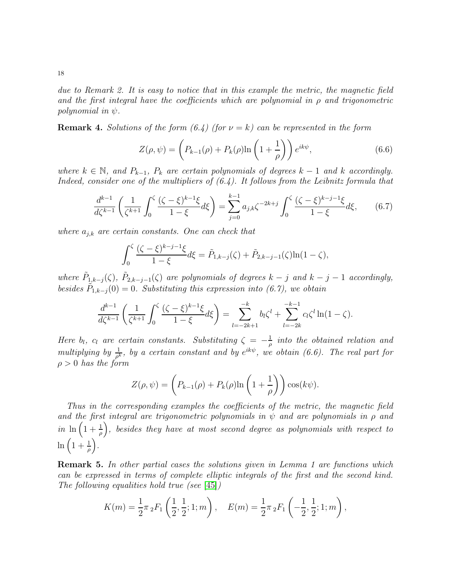due to Remark 2. It is easy to notice that in this example the metric, the magnetic field and the first integral have the coefficients which are polynomial in  $\rho$  and trigonometric polynomial in  $\psi$ .

**Remark 4.** Solutions of the form  $(6.4)$  (for  $\nu = k$ ) can be represented in the form

$$
Z(\rho, \psi) = \left(P_{k-1}(\rho) + P_k(\rho) \ln\left(1 + \frac{1}{\rho}\right)\right) e^{ik\psi},\tag{6.6}
$$

where  $k \in \mathbb{N}$ , and  $P_{k-1}$ ,  $P_k$  are certain polynomials of degrees  $k-1$  and k accordingly. Indeed, consider one of the multipliers of  $(6.4)$ . It follows from the Leibnitz formula that

$$
\frac{d^{k-1}}{d\zeta^{k-1}}\left(\frac{1}{\zeta^{k+1}}\int_0^\zeta \frac{(\zeta-\xi)^{k-1}\xi}{1-\xi}d\xi\right) = \sum_{j=0}^{k-1} a_{j,k}\zeta^{-2k+j} \int_0^\zeta \frac{(\zeta-\xi)^{k-j-1}\xi}{1-\xi}d\xi,\qquad(6.7)
$$

where  $a_{j,k}$  are certain constants. One can check that

$$
\int_0^{\zeta} \frac{(\zeta - \xi)^{k-j-1} \xi}{1 - \xi} d\xi = \tilde{P}_{1,k-j}(\zeta) + \tilde{P}_{2,k-j-1}(\zeta) \ln(1 - \zeta),
$$

where  $\tilde{P}_{1,k-j}(\zeta)$ ,  $\tilde{P}_{2,k-j-1}(\zeta)$  are polynomials of degrees  $k-j$  and  $k-j-1$  accordingly, besides  $\tilde{P}_{1,k-j}(0) = 0$ . Substituting this expression into (6.7), we obtain

$$
\frac{d^{k-1}}{d\zeta^{k-1}}\left(\frac{1}{\zeta^{k+1}}\int_0^{\zeta}\frac{(\zeta-\xi)^{k-1}\xi}{1-\xi}d\xi\right)=\sum_{l=-2k+1}^{-k}b_l\zeta^l+\sum_{l=-2k}^{-k-1}c_l\zeta^l\ln(1-\zeta).
$$

Here  $b_l$ ,  $c_l$  are certain constants. Substituting  $\zeta = -\frac{1}{\rho}$  into the obtained relation and multiplying by  $\frac{1}{\rho^k}$ , by a certain constant and by  $e^{ik\psi}$ , we obtain (6.6). The real part for  $\rho > 0$  has the form

$$
Z(\rho, \psi) = \left(P_{k-1}(\rho) + P_k(\rho) \ln\left(1 + \frac{1}{\rho}\right)\right) \cos(k\psi).
$$

Thus in the corresponding examples the coefficients of the metric, the magnetic field and the first integral are trigonometric polynomials in  $\psi$  and are polynomials in  $\rho$  and in  $\ln\left(1+\frac{1}{\rho}\right)$ ), besides they have at most second degree as polynomials with respect to  $\ln\left(1+\frac{1}{\rho}\right)$ .

Remark 5. In other partial cases the solutions given in Lemma 1 are functions which can be expressed in terms of complete elliptic integrals of the first and the second kind. The following equalities hold true (see [\[45\]](#page-20-11))

$$
K(m) = \frac{1}{2}\pi \, {}_2F_1\left(\frac{1}{2}, \frac{1}{2}; 1; m\right), \quad E(m) = \frac{1}{2}\pi \, {}_2F_1\left(-\frac{1}{2}, \frac{1}{2}; 1; m\right),
$$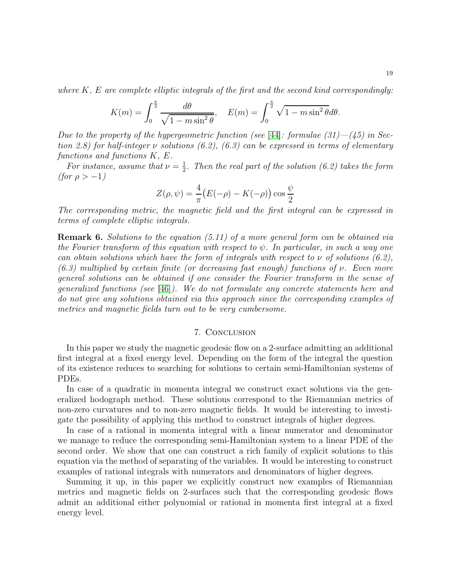where  $K, E$  are complete elliptic integrals of the first and the second kind correspondingly:

$$
K(m) = \int_0^{\frac{\pi}{2}} \frac{d\theta}{\sqrt{1 - m \sin^2 \theta}}, \quad E(m) = \int_0^{\frac{\pi}{2}} \sqrt{1 - m \sin^2 \theta} d\theta.
$$

Due to the property of the hypergeometric function (see [\[44\]](#page-20-10): formulae  $(31) - (45)$  in Section 2.8) for half-integer  $\nu$  solutions (6.2), (6.3) can be expressed in terms of elementary functions and functions K, E.

For instance, assume that  $\nu = \frac{1}{2}$  $\frac{1}{2}$ . Then the real part of the solution (6.2) takes the form (for  $\rho > -1$ )

$$
Z(\rho, \psi) = \frac{4}{\pi} \big( E(-\rho) - K(-\rho) \big) \cos \frac{\psi}{2}
$$

The corresponding metric, the magnetic field and the first integral can be expressed in terms of complete elliptic integrals.

**Remark 6.** Solutions to the equation  $(5.11)$  of a more general form can be obtained via the Fourier transform of this equation with respect to  $\psi$ . In particular, in such a way one can obtain solutions which have the form of integrals with respect to  $\nu$  of solutions (6.2),  $(6.3)$  multiplied by certain finite (or decreasing fast enough) functions of  $\nu$ . Even more general solutions can be obtained if one consider the Fourier transform in the sense of generalized functions (see [\[46\]](#page-20-12)). We do not formulate any concrete statements here and do not give any solutions obtained via this approach since the corresponding examples of metrics and magnetic fields turn out to be very cumbersome.

#### 7. Conclusion

In this paper we study the magnetic geodesic flow on a 2-surface admitting an additional first integral at a fixed energy level. Depending on the form of the integral the question of its existence reduces to searching for solutions to certain semi-Hamiltonian systems of PDEs.

In case of a quadratic in momenta integral we construct exact solutions via the generalized hodograph method. These solutions correspond to the Riemannian metrics of non-zero curvatures and to non-zero magnetic fields. It would be interesting to investigate the possibility of applying this method to construct integrals of higher degrees.

In case of a rational in momenta integral with a linear numerator and denominator we manage to reduce the corresponding semi-Hamiltonian system to a linear PDE of the second order. We show that one can construct a rich family of explicit solutions to this equation via the method of separating of the variables. It would be interesting to construct examples of rational integrals with numerators and denominators of higher degrees.

Summing it up, in this paper we explicitly construct new examples of Riemannian metrics and magnetic fields on 2-surfaces such that the corresponding geodesic flows admit an additional either polynomial or rational in momenta first integral at a fixed energy level.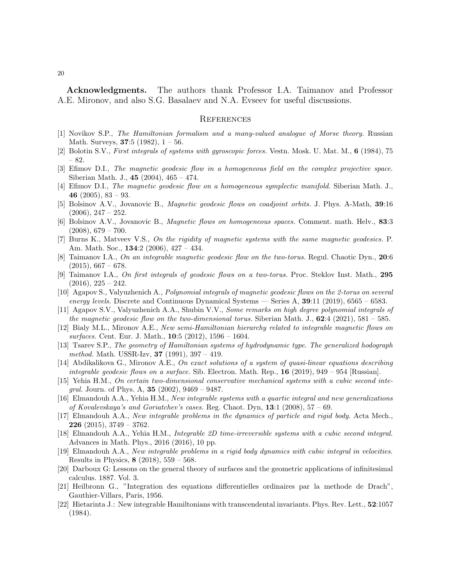Acknowledgments. The authors thank Professor I.A. Taimanov and Professor A.E. Mironov, and also S.G. Basalaev and N.A. Evseev for useful discussions.

#### **REFERENCES**

- <span id="page-19-0"></span>[1] Novikov S.P., *The Hamiltonian formalism and a many-valued analogue of Morse theory.* Russian Math. Surveys,  $37:5$  (1982),  $1 - 56$ .
- <span id="page-19-1"></span>[2] Bolotin S.V., *First integrals of systems with gyroscopic forces.* Vestn. Mosk. U. Mat. M., 6 (1984), 75 – 82.
- [3] Efimov D.I., *The magnetic geodesic flow in a homogeneous field on the complex projective space.* Siberian Math. J., 45 (2004), 465 – 474.
- [4] Efimov D.I., *The magnetic geodesic flow on a homogeneous symplectic manifold.* Siberian Math. J., 46 (2005),  $83 - 93$ .
- [5] Bolsinov A.V., Jovanovic B., *Magnetic geodesic flows on coadjoint orbits.* J. Phys. A-Math, 39:16  $(2006), 247 - 252.$
- [6] Bolsinov A.V., Jovanovic B., *Magnetic flows on homogeneous spaces.* Comment. math. Helv., 83:3  $(2008), 679 - 700.$
- [7] Burns K., Matveev V.S., *On the rigidity of magnetic systems with the same magnetic geodesics.* P. Am. Math. Soc., 134:2 (2006), 427 – 434.
- <span id="page-19-2"></span>[8] Taimanov I.A., *On an integrable magnetic geodesic flow on the two-torus.* Regul. Chaotic Dyn., 20:6  $(2015), 667 - 678.$
- <span id="page-19-3"></span>[9] Taimanov I.A., *On first integrals of geodesic flows on a two-torus.* Proc. Steklov Inst. Math., 295  $(2016), 225 - 242.$
- <span id="page-19-4"></span>[10] Agapov S., Valyuzhenich A., *Polynomial integrals of magnetic geodesic flows on the 2-torus on several energy levels.* Discrete and Continuous Dynamical Systems — Series A, 39:11 (2019), 6565 – 6583.
- <span id="page-19-5"></span>[11] Agapov S.V., Valyuzhenich A.A., Shubin V.V., *Some remarks on high degree polynomial integrals of the magnetic geodesic flow on the two-dimensional torus.* Siberian Math. J., 62:4 (2021), 581 – 585.
- <span id="page-19-6"></span>[12] Bialy M.L., Mironov A.E., *New semi-Hamiltonian hierarchy related to integrable magnetic flows on surfaces.* Cent. Eur. J. Math., 10:5 (2012), 1596 – 1604.
- <span id="page-19-7"></span>[13] Tsarev S.P., *The geometry of Hamiltonian systems of hydrodynamic type. The generalized hodograph method.* Math. USSR-Izv, 37 (1991), 397 – 419.
- <span id="page-19-8"></span>[14] Abdikalikova G., Mironov A.E., *On exact solutions of a system of quasi-linear equations describing integrable geodesic flows on a surface.* Sib. Electron. Math. Rep., 16 (2019), 949 – 954 [Russian].
- <span id="page-19-9"></span>[15] Yehia H.M., *On certain two-dimensional conservative mechanical systems with a cubic second integral.* Journ. of Phys. A, 35 (2002), 9469 – 9487.
- [16] Elmandouh A.A., Yehia H.M., *New integrable systems with a quartic integral and new generalizations of Kovalevskaya's and Goriatchev's cases.* Reg. Chaot. Dyn, 13:1 (2008), 57 – 69.
- [17] Elmandouh A.A., *New integrable problems in the dynamics of particle and rigid body.* Acta Mech., **226** (2015),  $3749 - 3762$ .
- [18] Elmandouh A.A., Yehia H.M., *Integrable 2D time-irreversible systems with a cubic second integral.* Advances in Math. Phys., 2016 (2016), 10 pp.
- <span id="page-19-10"></span>[19] Elmandouh A.A., *New integrable problems in a rigid body dynamics with cubic integral in velocities.* Results in Physics, 8 (2018), 559 – 568.
- <span id="page-19-11"></span>[20] Darboux G: Lessons on the general theory of surfaces and the geometric applications of infinitesimal calculus. 1887. Vol. 3.
- [21] Heilbronn G., "Integration des equations differentielles ordinaires par la methode de Drach", Gauthier-Villars, Paris, 1956.
- [22] Hietarinta J.: New integrable Hamiltonians with transcendental invariants. Phys. Rev. Lett., 52:1057 (1984).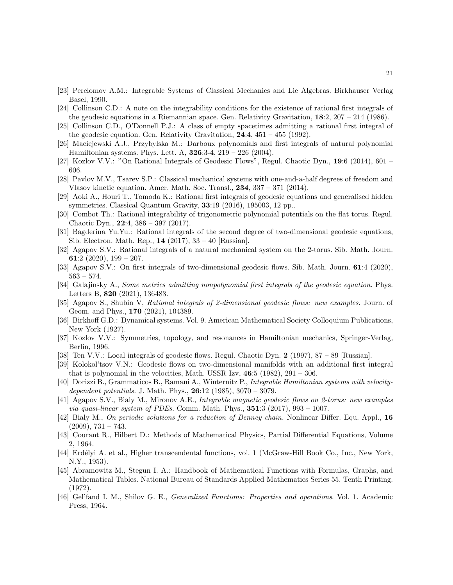- [23] Perelomov A.M.: Integrable Systems of Classical Mechanics and Lie Algebras. Birkhauser Verlag Basel, 1990.
- [24] Collinson C.D.: A note on the integrability conditions for the existence of rational first integrals of the geodesic equations in a Riemannian space. Gen. Relativity Gravitation, 18:2, 207 – 214 (1986).
- [25] Collinson C.D., O'Donnell P.J.: A class of empty spacetimes admitting a rational first integral of the geodesic equation. Gen. Relativity Gravitation,  $24:4$ ,  $451 - 455$  (1992).
- [26] Maciejewski A.J., Przybylska M.: Darboux polynomials and first integrals of natural polynomial Hamiltonian systems. Phys. Lett. A, 326:3-4, 219 – 226 (2004).
- [27] Kozlov V.V.: "On Rational Integrals of Geodesic Flows", Regul. Chaotic Dyn., 19:6 (2014), 601 606.
- [28] Pavlov M.V., Tsarev S.P.: Classical mechanical systems with one-and-a-half degrees of freedom and Vlasov kinetic equation. Amer. Math. Soc. Transl.,  $234$ ,  $337 - 371$  (2014).
- [29] Aoki A., Houri T., Tomoda K.: Rational first integrals of geodesic equations and generalised hidden symmetries. Classical Quantum Gravity, 33:19 (2016), 195003, 12 pp..
- [30] Combot Th.: Rational integrability of trigonometric polynomial potentials on the flat torus. Regul. Chaotic Dyn., 22:4, 386 – 397 (2017).
- [31] Bagderina Yu.Yu.: Rational integrals of the second degree of two-dimensional geodesic equations, Sib. Electron. Math. Rep., 14 (2017), 33 – 40 [Russian].
- [32] Agapov S.V.: Rational integrals of a natural mechanical system on the 2-torus. Sib. Math. Journ. 61:2 (2020),  $199 - 207$ .
- <span id="page-20-5"></span>[33] Agapov S.V.: On first integrals of two-dimensional geodesic flows. Sib. Math. Journ. 61:4 (2020),  $563 - 574.$
- [34] Galajinsky A., *Some metrics admitting nonpolynomial first integrals of the geodesic equation.* Phys. Letters B, 820 (2021), 136483.
- <span id="page-20-0"></span>[35] Agapov S., Shubin V, *Rational integrals of 2-dimensional geodesic flows: new examples.* Journ. of Geom. and Phys., **170** (2021), 104389.
- <span id="page-20-1"></span>[36] Birkhoff G.D.: Dynamical systems. Vol. 9. American Mathematical Society Colloquium Publications, New York (1927).
- <span id="page-20-2"></span>[37] Kozlov V.V.: Symmetries, topology, and resonances in Hamiltonian mechanics, Springer-Verlag, Berlin, 1996.
- <span id="page-20-4"></span><span id="page-20-3"></span>[38] Ten V.V.: Local integrals of geodesic flows. Regul. Chaotic Dyn. 2 (1997), 87 – 89 [Russian].
- [39] Kolokol'tsov V.N.: Geodesic flows on two-dimensional manifolds with an additional first integral that is polynomial in the velocities, Math. USSR Izv,  $46:5$  (1982),  $291 - 306$ .
- <span id="page-20-6"></span>[40] Dorizzi B., Grammaticos B., Ramani A., Winternitz P., *Integrable Hamiltonian systems with velocitydependent potentials.* J. Math. Phys., 26:12 (1985), 3070 – 3079.
- <span id="page-20-7"></span>[41] Agapov S.V., Bialy M., Mironov A.E., *Integrable magnetic geodesic flows on 2-torus: new examples via quasi-linear system of PDEs.* Comm. Math. Phys., 351:3 (2017), 993 – 1007.
- <span id="page-20-8"></span>[42] Bialy M., *On periodic solutions for a reduction of Benney chain.* Nonlinear Differ. Equ. Appl., 16  $(2009)$ ,  $731 - 743$ .
- <span id="page-20-9"></span>[43] Courant R., Hilbert D.: Methods of Mathematical Physics, Partial Differential Equations, Volume 2, 1964.
- <span id="page-20-10"></span>[44] Erdélyi A. et al., Higher transcendental functions, vol. 1 (McGraw-Hill Book Co., Inc., New York, N.Y., 1953).
- <span id="page-20-11"></span>[45] Abramowitz M., Stegun I. A.: Handbook of Mathematical Functions with Formulas, Graphs, and Mathematical Tables. National Bureau of Standards Applied Mathematics Series 55. Tenth Printing. (1972).
- <span id="page-20-12"></span>[46] Gel'fand I. M., Shilov G. E., *Generalized Functions: Properties and operations*. Vol. 1. Academic Press, 1964.